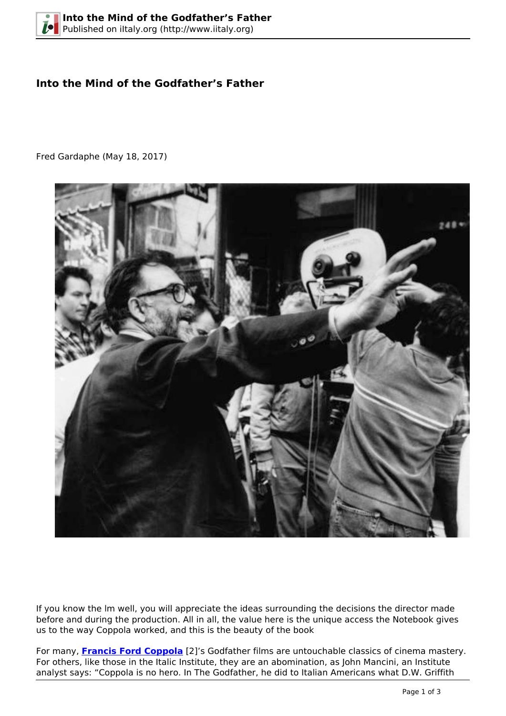## **Into the Mind of the Godfather's Father**

Fred Gardaphe (May 18, 2017)



If you know the lm well, you will appreciate the ideas surrounding the decisions the director made before and during the production. All in all, the value here is the unique access the Notebook gives us to the way Coppola worked, and this is the beauty of the book

For many, **[Francis Ford Coppola](https://en.wikipedia.org/wiki/Francis_Ford_Coppola)** [2]'s Godfather films are untouchable classics of cinema mastery. For others, like those in the Italic Institute, they are an abomination, as John Mancini, an Institute analyst says: "Coppola is no hero. In The Godfather, he did to Italian Americans what D.W. Griffith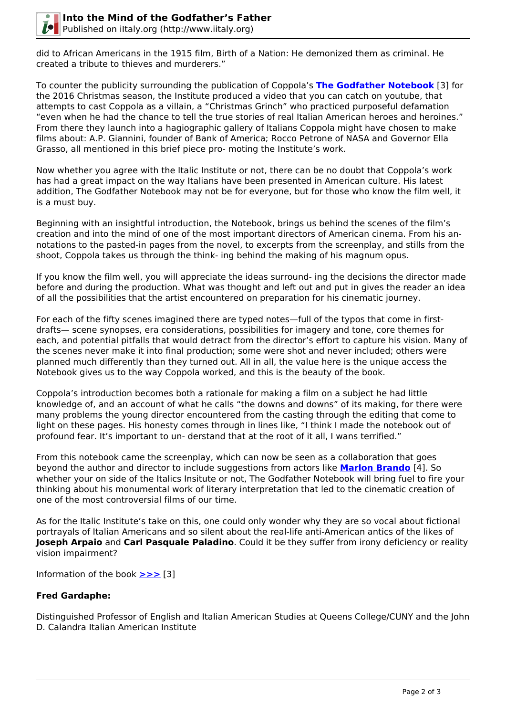

did to African Americans in the 1915 film, Birth of a Nation: He demonized them as criminal. He created a tribute to thieves and murderers."

To counter the publicity surrounding the publication of Coppola's **[The Godfather Notebook](https://www.amazon.com/Godfather-Notebook-Francis-Ford-Coppola/dp/168245052X)** [3] for the 2016 Christmas season, the Institute produced a video that you can catch on youtube, that attempts to cast Coppola as a villain, a "Christmas Grinch" who practiced purposeful defamation "even when he had the chance to tell the true stories of real Italian American heroes and heroines." From there they launch into a hagiographic gallery of Italians Coppola might have chosen to make films about: A.P. Giannini, founder of Bank of America; Rocco Petrone of NASA and Governor Ella Grasso, all mentioned in this brief piece pro- moting the Institute's work.

Now whether you agree with the Italic Institute or not, there can be no doubt that Coppola's work has had a great impact on the way Italians have been presented in American culture. His latest addition, The Godfather Notebook may not be for everyone, but for those who know the film well, it is a must buy.

Beginning with an insightful introduction, the Notebook, brings us behind the scenes of the film's creation and into the mind of one of the most important directors of American cinema. From his annotations to the pasted-in pages from the novel, to excerpts from the screenplay, and stills from the shoot, Coppola takes us through the think- ing behind the making of his magnum opus.

If you know the film well, you will appreciate the ideas surround- ing the decisions the director made before and during the production. What was thought and left out and put in gives the reader an idea of all the possibilities that the artist encountered on preparation for his cinematic journey.

For each of the fifty scenes imagined there are typed notes—full of the typos that come in firstdrafts— scene synopses, era considerations, possibilities for imagery and tone, core themes for each, and potential pitfalls that would detract from the director's effort to capture his vision. Many of the scenes never make it into final production; some were shot and never included; others were planned much differently than they turned out. All in all, the value here is the unique access the Notebook gives us to the way Coppola worked, and this is the beauty of the book.

Coppola's introduction becomes both a rationale for making a film on a subject he had little knowledge of, and an account of what he calls "the downs and downs" of its making, for there were many problems the young director encountered from the casting through the editing that come to light on these pages. His honesty comes through in lines like, "I think I made the notebook out of profound fear. It's important to un- derstand that at the root of it all, I wans terrified."

From this notebook came the screenplay, which can now be seen as a collaboration that goes beyond the author and director to include suggestions from actors like **[Marlon Brando](https://en.wikipedia.org/wiki/Marlon_Brando)** [4]. So whether your on side of the Italics Insitute or not, The Godfather Notebook will bring fuel to fire your thinking about his monumental work of literary interpretation that led to the cinematic creation of one of the most controversial films of our time.

As for the Italic Institute's take on this, one could only wonder why they are so vocal about fictional portrayals of Italian Americans and so silent about the real-life anti-American antics of the likes of **Joseph Arpaio** and **Carl Pasquale Paladino**. Could it be they suffer from irony deficiency or reality vision impairment?

Information of the book **[>>>](https://www.amazon.com/Godfather-Notebook-Francis-Ford-Coppola/dp/168245052X)** [3]

## **Fred Gardaphe:**

Distinguished Professor of English and Italian American Studies at Queens College/CUNY and the John D. Calandra Italian American Institute